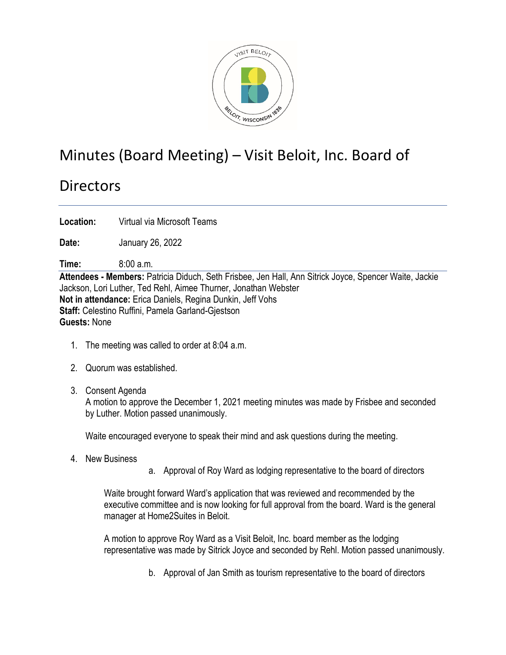

## Minutes (Board Meeting) – Visit Beloit, Inc. Board of

## **Directors**

**Location:** Virtual via Microsoft Teams

**Date:** January 26, 2022

**Time:** 8:00 a.m.

**Attendees - Members:** Patricia Diduch, Seth Frisbee, Jen Hall, Ann Sitrick Joyce, Spencer Waite, Jackie Jackson, Lori Luther, Ted Rehl, Aimee Thurner, Jonathan Webster **Not in attendance:** Erica Daniels, Regina Dunkin, Jeff Vohs **Staff:** Celestino Ruffini, Pamela Garland-Gjestson **Guests:** None

- 1. The meeting was called to order at 8:04 a.m.
- 2. Quorum was established.
- 3. Consent Agenda

A motion to approve the December 1, 2021 meeting minutes was made by Frisbee and seconded by Luther. Motion passed unanimously.

Waite encouraged everyone to speak their mind and ask questions during the meeting.

- 4. New Business
- a. Approval of Roy Ward as lodging representative to the board of directors

Waite brought forward Ward's application that was reviewed and recommended by the executive committee and is now looking for full approval from the board. Ward is the general manager at Home2Suites in Beloit.

A motion to approve Roy Ward as a Visit Beloit, Inc. board member as the lodging representative was made by Sitrick Joyce and seconded by Rehl. Motion passed unanimously.

b. Approval of Jan Smith as tourism representative to the board of directors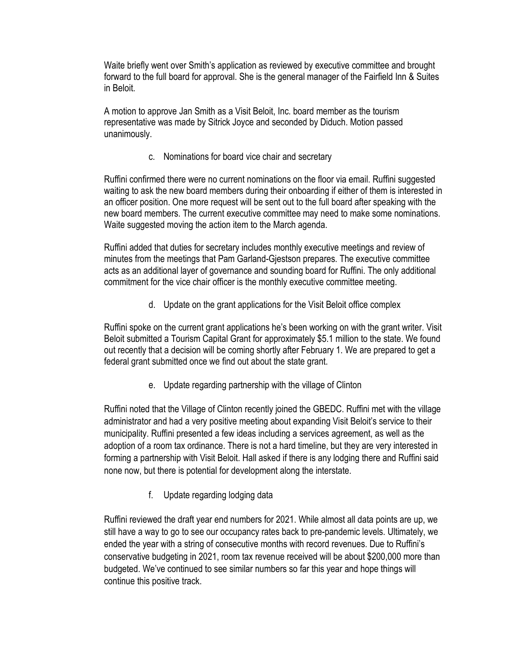Waite briefly went over Smith's application as reviewed by executive committee and brought forward to the full board for approval. She is the general manager of the Fairfield Inn & Suites in Beloit.

A motion to approve Jan Smith as a Visit Beloit, Inc. board member as the tourism representative was made by Sitrick Joyce and seconded by Diduch. Motion passed unanimously.

c. Nominations for board vice chair and secretary

Ruffini confirmed there were no current nominations on the floor via email. Ruffini suggested waiting to ask the new board members during their onboarding if either of them is interested in an officer position. One more request will be sent out to the full board after speaking with the new board members. The current executive committee may need to make some nominations. Waite suggested moving the action item to the March agenda.

Ruffini added that duties for secretary includes monthly executive meetings and review of minutes from the meetings that Pam Garland-Gjestson prepares. The executive committee acts as an additional layer of governance and sounding board for Ruffini. The only additional commitment for the vice chair officer is the monthly executive committee meeting.

d. Update on the grant applications for the Visit Beloit office complex

Ruffini spoke on the current grant applications he's been working on with the grant writer. Visit Beloit submitted a Tourism Capital Grant for approximately \$5.1 million to the state. We found out recently that a decision will be coming shortly after February 1. We are prepared to get a federal grant submitted once we find out about the state grant.

e. Update regarding partnership with the village of Clinton

Ruffini noted that the Village of Clinton recently joined the GBEDC. Ruffini met with the village administrator and had a very positive meeting about expanding Visit Beloit's service to their municipality. Ruffini presented a few ideas including a services agreement, as well as the adoption of a room tax ordinance. There is not a hard timeline, but they are very interested in forming a partnership with Visit Beloit. Hall asked if there is any lodging there and Ruffini said none now, but there is potential for development along the interstate.

f. Update regarding lodging data

Ruffini reviewed the draft year end numbers for 2021. While almost all data points are up, we still have a way to go to see our occupancy rates back to pre-pandemic levels. Ultimately, we ended the year with a string of consecutive months with record revenues. Due to Ruffini's conservative budgeting in 2021, room tax revenue received will be about \$200,000 more than budgeted. We've continued to see similar numbers so far this year and hope things will continue this positive track.